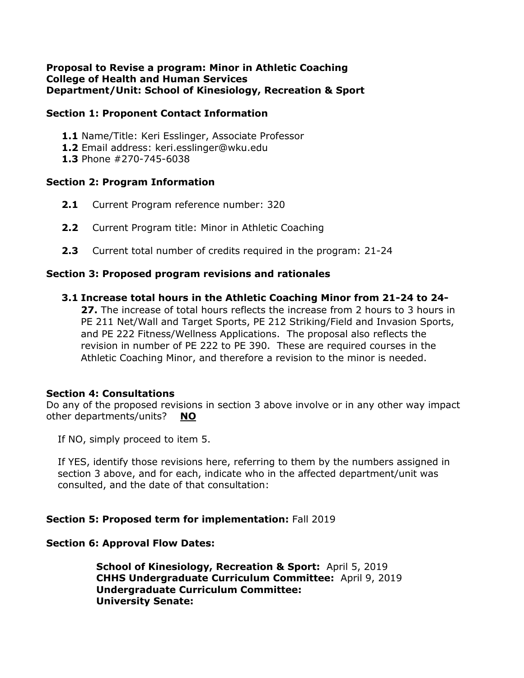#### **Proposal to Revise a program: Minor in Athletic Coaching College of Health and Human Services Department/Unit: School of Kinesiology, Recreation & Sport**

### **Section 1: Proponent Contact Information**

- **1.1** Name/Title: Keri Esslinger, Associate Professor
- **1.2** Email address: keri.esslinger@wku.edu
- **1.3** Phone #270-745-6038

### **Section 2: Program Information**

- **2.1** Current Program reference number: 320
- **2.2** Current Program title: Minor in Athletic Coaching
- **2.3** Current total number of credits required in the program: 21-24

### **Section 3: Proposed program revisions and rationales**

**3.1 Increase total hours in the Athletic Coaching Minor from 21-24 to 24-**

**27.** The increase of total hours reflects the increase from 2 hours to 3 hours in PE 211 Net/Wall and Target Sports, PE 212 Striking/Field and Invasion Sports, and PE 222 Fitness/Wellness Applications. The proposal also reflects the revision in number of PE 222 to PE 390. These are required courses in the Athletic Coaching Minor, and therefore a revision to the minor is needed.

## **Section 4: Consultations**

Do any of the proposed revisions in section 3 above involve or in any other way impact other departments/units? **NO**

If NO, simply proceed to item 5.

If YES, identify those revisions here, referring to them by the numbers assigned in section 3 above, and for each, indicate who in the affected department/unit was consulted, and the date of that consultation:

## **Section 5: Proposed term for implementation:** Fall 2019

## **Section 6: Approval Flow Dates:**

**School of Kinesiology, Recreation & Sport:** April 5, 2019 **CHHS Undergraduate Curriculum Committee:** April 9, 2019 **Undergraduate Curriculum Committee: University Senate:**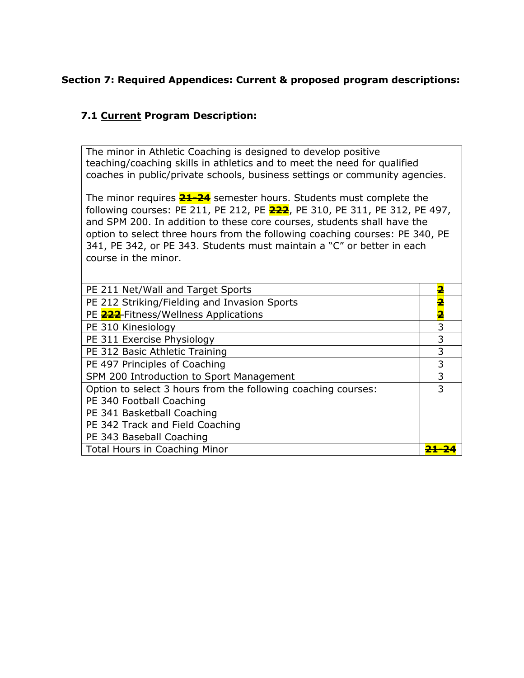# **Section 7: Required Appendices: Current & proposed program descriptions:**

# **7.1 Current Program Description:**

The minor in Athletic Coaching is designed to develop positive teaching/coaching skills in athletics and to meet the need for qualified coaches in public/private schools, business settings or community agencies.

The minor requires **21-24** semester hours. Students must complete the following courses: PE 211, PE 212, PE **222**, PE 310, PE 311, PE 312, PE 497, and SPM 200. In addition to these core courses, students shall have the option to select three hours from the following coaching courses: PE 340, PE 341, PE 342, or PE 343. Students must maintain a "C" or better in each course in the minor.

| PE 211 Net/Wall and Target Sports                             | 2 |
|---------------------------------------------------------------|---|
| PE 212 Striking/Fielding and Invasion Sports                  | 2 |
| PE 222-Fitness/Wellness Applications                          | 2 |
| PE 310 Kinesiology                                            | 3 |
| PE 311 Exercise Physiology                                    | 3 |
| PE 312 Basic Athletic Training                                | 3 |
| PE 497 Principles of Coaching                                 | 3 |
| SPM 200 Introduction to Sport Management                      | 3 |
| Option to select 3 hours from the following coaching courses: | 3 |
| PE 340 Football Coaching                                      |   |
| PE 341 Basketball Coaching                                    |   |
| PE 342 Track and Field Coaching                               |   |
| PE 343 Baseball Coaching                                      |   |
| Total Hours in Coaching Minor                                 |   |